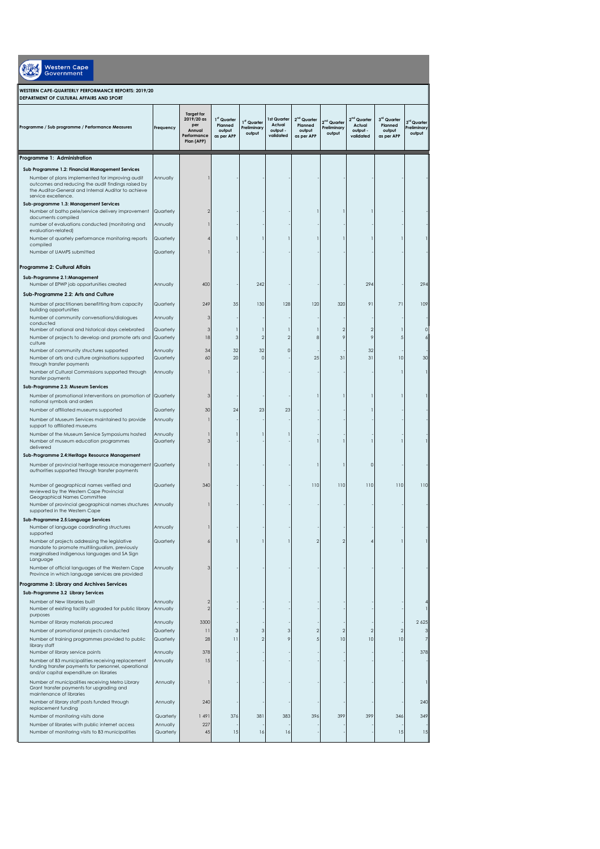| Western Cape<br><b>Government</b><br><b>WESTERN CAPE-QUARTERLY PERFORMANCE REPORTS: 2019/20</b><br>DEPARTMENT OF CULTURAL AFFAIRS AND SPORT                                         |                       |                                 |                 |            |     |                |     |                |     |          |
|-------------------------------------------------------------------------------------------------------------------------------------------------------------------------------------|-----------------------|---------------------------------|-----------------|------------|-----|----------------|-----|----------------|-----|----------|
|                                                                                                                                                                                     |                       |                                 |                 |            |     |                |     |                |     |          |
| Programme 1: Administration                                                                                                                                                         |                       |                                 |                 |            |     |                |     |                |     |          |
| Sub Programme 1.2: Financial Management Services                                                                                                                                    |                       |                                 |                 |            |     |                |     |                |     |          |
| Number of plans implemented for improving audit<br>outcomes and reducing the audit findings raised by<br>the Auditor-General and Internal Auditor to achieve<br>service excellence. | Annually              |                                 |                 |            |     |                |     |                |     |          |
| Sub-programme 1.3: Management Services<br>Number of batho pele/service delivery improvement                                                                                         | Quarterly             |                                 |                 |            |     |                |     |                |     |          |
| documents compiled<br>number of evaluations conducted (monitoring and<br>evaluation-related)                                                                                        | Annually              |                                 |                 |            |     |                |     |                |     |          |
| Number of quartely performance monitoring reports                                                                                                                                   | Quarterly             |                                 |                 |            |     |                |     |                |     |          |
| compiled<br>Number of UAMPS submitted                                                                                                                                               | Quarterly             |                                 |                 |            |     |                |     |                |     |          |
| Programme 2: Cultural Affairs                                                                                                                                                       |                       |                                 |                 |            |     |                |     |                |     |          |
| Sub-Programme 2.1:Management<br>Number of EPWP job opportunities created                                                                                                            | Annually              | 400                             |                 | 242        |     |                |     | 294            |     | 294      |
| Sub-Programme 2.2: Arts and Culture                                                                                                                                                 |                       |                                 |                 |            |     |                |     |                |     |          |
| Number of practitioners benefitting from capacity                                                                                                                                   | Quarterly             | 249                             | 35              | 130        | 128 | 120            | 320 | 91             | 71  | 109      |
| building opportunities<br>Number of community conversations/dialogues                                                                                                               | Annually              |                                 |                 |            |     |                |     |                |     |          |
| conducted<br>Number of national and historical days celebrated                                                                                                                      | Quarterly             |                                 |                 |            |     |                |     | $\overline{2}$ |     | $\Omega$ |
| Number of projects to develop and promote arts and<br>culture                                                                                                                       | Quarterly             | 18                              | 3               |            |     | ۶              |     | 9              |     |          |
| Number of community structures supported                                                                                                                                            | Annually              | 34                              | 32              | 32         |     |                |     | 32             |     |          |
| Number of arts and culture orginisations supported<br>through transfer payments                                                                                                     | Quarterly             | 60                              | 20              | $\epsilon$ |     | 25             | 31  | 31             | 10  | 30       |
| Number of Cultural Commissions supported through<br>transfer payments                                                                                                               | Annually              |                                 |                 |            |     |                |     |                |     |          |
| Sub-Programme 2.3: Museum Services                                                                                                                                                  |                       |                                 |                 |            |     |                |     |                |     |          |
| Number of promotional interventions on promotion of<br>national symbols and orders                                                                                                  | Quarterly             |                                 |                 |            |     |                |     |                |     |          |
| Number of affiliated museums supported                                                                                                                                              | Quarterly             | 30                              | 24              | 23         | 23  |                |     |                |     |          |
| Number of Museum Services maintained to provide<br>support to affiliated museums                                                                                                    | Annually              |                                 |                 |            |     |                |     |                |     |          |
| Number of the Museum Service Symposiums hosted                                                                                                                                      | Annually              |                                 |                 |            |     |                |     |                |     |          |
| Number of museum education programmes<br>delivered                                                                                                                                  | Quarterly             |                                 |                 |            |     |                |     |                |     |          |
| Sub-Programme 2.4: Heritage Resource Management                                                                                                                                     |                       |                                 |                 |            |     |                |     |                |     |          |
| Number of provincial heritage resource management Quarterly<br>authorities supported through transfer payments                                                                      |                       |                                 |                 |            |     |                |     |                |     |          |
| Number of geographical names verified and<br>reviewed by the Western Cape Provincial<br>Geographical Names Committee                                                                | Quarterly             | 340                             |                 |            |     | 110            | 110 | 110            | 110 | 110      |
| Number of provincial geographical names structures<br>supported in the Western Cape                                                                                                 | Annually              |                                 |                 |            |     |                |     |                |     |          |
| Sub-Programme 2.5: Language Services                                                                                                                                                |                       |                                 |                 |            |     |                |     |                |     |          |
| Number of language coordinating structures<br>supported                                                                                                                             | Annually              |                                 |                 |            |     |                |     |                |     |          |
| Number of projects addressing the legislative<br>mandate to promote multilingualism, previously<br>marginalised indigenous languages and SA Sign<br>Language                        | Quarterly             |                                 |                 |            |     | $\overline{2}$ | 2   |                |     |          |
| Number of official languages of the Western Cape<br>Province in which language services are provided                                                                                | Annually              |                                 |                 |            |     |                |     |                |     |          |
| Programme 3: Library and Archives Services                                                                                                                                          |                       |                                 |                 |            |     |                |     |                |     |          |
| Sub-Programme 3.2 Library Services                                                                                                                                                  |                       |                                 |                 |            |     |                |     |                |     |          |
| Number of New libraries built<br>Number of existing facility upgraded for public library                                                                                            | Annually<br>Annually  | $\overline{2}$<br>$\mathcal{P}$ |                 |            |     |                |     |                |     |          |
| purposes<br>Number of library materials procured                                                                                                                                    | Annually              | 3300                            |                 |            |     |                |     |                |     | 2 6 2 5  |
| Number of promotional projects conducted                                                                                                                                            | Quarterly             | $\overline{\mathbf{1}}$         | 3               | 3          | 3   | 2              | 2   | $\overline{2}$ |     | 3        |
| Number of training programmes provided to public<br>library staff                                                                                                                   | Quarterly             | 28                              | $\overline{11}$ |            | 9   | 5              | 10  | 10             | 10  | 7        |
| Number of library service points                                                                                                                                                    | Annually              | 378                             |                 |            |     |                |     |                |     | 378      |
| Number of B3 municipalities receiving replacement<br>funding transfer payments for personnel, operational<br>and/or capital expenditure on libraries                                | Annually              | 15                              |                 |            |     |                |     |                |     |          |
| Number of municipalities receiving Metro Library<br>Grant transfer payments for upgrading and<br>maintenance of libraries                                                           | Annually              |                                 |                 |            |     |                |     |                |     |          |
| Number of library staff posts funded through<br>replacement funding                                                                                                                 | Annually              | 240                             |                 |            |     |                |     |                |     | 240      |
| Number of monitoring visits done                                                                                                                                                    | Quarterly             | 1491                            | 376             | 381        | 383 | 396            | 399 | 399            | 346 | 349      |
| Number of libraries with public internet access<br>Number of monitoring visits to B3 municipalities                                                                                 | Annually<br>Quarterly | 227<br>45                       | 15              | 16         | 16  |                |     |                | 15  | 15       |
|                                                                                                                                                                                     |                       |                                 |                 |            |     |                |     |                |     |          |